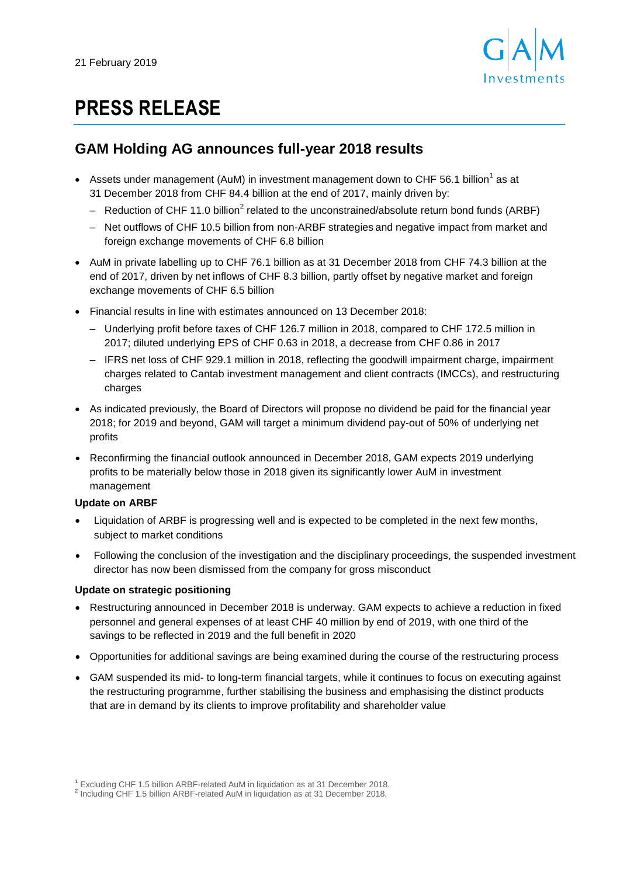<span id="page-0-1"></span>

# **PRESS RELEASE**

# **GAM Holding AG announces full-year 2018 results**

- <span id="page-0-0"></span>• Assets under management (AuM) in investment management down to CHF 56.1 billion<sup>1</sup> as at 31 December 2018 from CHF 84.4 billion at the end of 2017, mainly driven by:
	- $-$  Reduction of CHF 11.0 billion<sup>2</sup> related to the unconstrained/absolute return bond funds (ARBF)
	- Net outflows of CHF 10.5 billion from non-ARBF strategies and negative impact from market and foreign exchange movements of CHF 6.8 billion
- AuM in private labelling up to CHF 76.1 billion as at 31 December 2018 from CHF 74.3 billion at the end of 2017, driven by net inflows of CHF 8.3 billion, partly offset by negative market and foreign exchange movements of CHF 6.5 billion
- Financial results in line with estimates announced on 13 December 2018:
	- Underlying profit before taxes of CHF 126.7 million in 2018, compared to CHF 172.5 million in 2017; diluted underlying EPS of CHF 0.63 in 2018, a decrease from CHF 0.86 in 2017
	- IFRS net loss of CHF 929.1 million in 2018, reflecting the goodwill impairment charge, impairment charges related to Cantab investment management and client contracts (IMCCs), and restructuring charges
- As indicated previously, the Board of Directors will propose no dividend be paid for the financial year 2018; for 2019 and beyond, GAM will target a minimum dividend pay-out of 50% of underlying net profits
- Reconfirming the financial outlook announced in December 2018, GAM expects 2019 underlying profits to be materially below those in 2018 given its significantly lower AuM in investment management

# **Update on ARBF**

- Liquidation of ARBF is progressing well and is expected to be completed in the next few months, subject to market conditions
- Following the conclusion of the investigation and the disciplinary proceedings, the suspended investment director has now been dismissed from the company for gross misconduct

# **Update on strategic positioning**

- Restructuring announced in December 2018 is underway. GAM expects to achieve a reduction in fixed personnel and general expenses of at least CHF 40 million by end of 2019, with one third of the savings to be reflected in 2019 and the full benefit in 2020
- Opportunities for additional savings are being examined during the course of the restructuring process
- GAM suspended its mid- to long-term financial targets, while it continues to focus on executing against the restructuring programme, further stabilising the business and emphasising the distinct products that are in demand by its clients to improve profitability and shareholder value

<sup>1</sup> Excluding CHF 1.5 billion ARBF-related AuM in liquidation as at 31 December 2018.

<sup>&</sup>lt;sup>2</sup> Including CHF 1.5 billion ARBF-related AuM in liquidation as at 31 December 2018.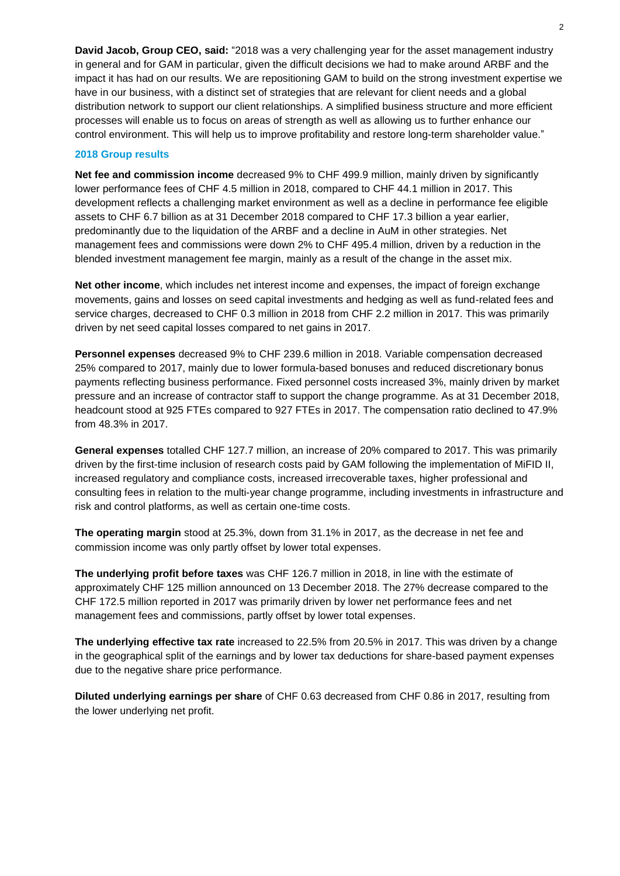**David Jacob, Group CEO, said:** "2018 was a very challenging year for the asset management industry in general and for GAM in particular, given the difficult decisions we had to make around ARBF and the impact it has had on our results. We are repositioning GAM to build on the strong investment expertise we have in our business, with a distinct set of strategies that are relevant for client needs and a global distribution network to support our client relationships. A simplified business structure and more efficient processes will enable us to focus on areas of strength as well as allowing us to further enhance our control environment. This will help us to improve profitability and restore long-term shareholder value."

# **2018 Group results**

**Net fee and commission income** decreased 9% to CHF 499.9 million, mainly driven by significantly lower performance fees of CHF 4.5 million in 2018, compared to CHF 44.1 million in 2017. This development reflects a challenging market environment as well as a decline in performance fee eligible assets to CHF 6.7 billion as at 31 December 2018 compared to CHF 17.3 billion a year earlier, predominantly due to the liquidation of the ARBF and a decline in AuM in other strategies. Net management fees and commissions were down 2% to CHF 495.4 million, driven by a reduction in the blended investment management fee margin, mainly as a result of the change in the asset mix.

**Net other income**, which includes net interest income and expenses, the impact of foreign exchange movements, gains and losses on seed capital investments and hedging as well as fund-related fees and service charges, decreased to CHF 0.3 million in 2018 from CHF 2.2 million in 2017. This was primarily driven by net seed capital losses compared to net gains in 2017.

**Personnel expenses** decreased 9% to CHF 239.6 million in 2018. Variable compensation decreased 25% compared to 2017, mainly due to lower formula-based bonuses and reduced discretionary bonus payments reflecting business performance. Fixed personnel costs increased 3%, mainly driven by market pressure and an increase of contractor staff to support the change programme. As at 31 December 2018, headcount stood at 925 FTEs compared to 927 FTEs in 2017. The compensation ratio declined to 47.9% from 48.3% in 2017.

**General expenses** totalled CHF 127.7 million, an increase of 20% compared to 2017. This was primarily driven by the first-time inclusion of research costs paid by GAM following the implementation of MiFID II, increased regulatory and compliance costs, increased irrecoverable taxes, higher professional and consulting fees in relation to the multi-year change programme, including investments in infrastructure and risk and control platforms, as well as certain one-time costs.

**The operating margin** stood at 25.3%, down from 31.1% in 2017, as the decrease in net fee and commission income was only partly offset by lower total expenses.

**The underlying profit before taxes** was CHF 126.7 million in 2018, in line with the estimate of approximately CHF 125 million announced on 13 December 2018. The 27% decrease compared to the CHF 172.5 million reported in 2017 was primarily driven by lower net performance fees and net management fees and commissions, partly offset by lower total expenses.

**The underlying effective tax rate** increased to 22.5% from 20.5% in 2017. This was driven by a change in the geographical split of the earnings and by lower tax deductions for share-based payment expenses due to the negative share price performance.

**Diluted underlying earnings per share** of CHF 0.63 decreased from CHF 0.86 in 2017, resulting from the lower underlying net profit.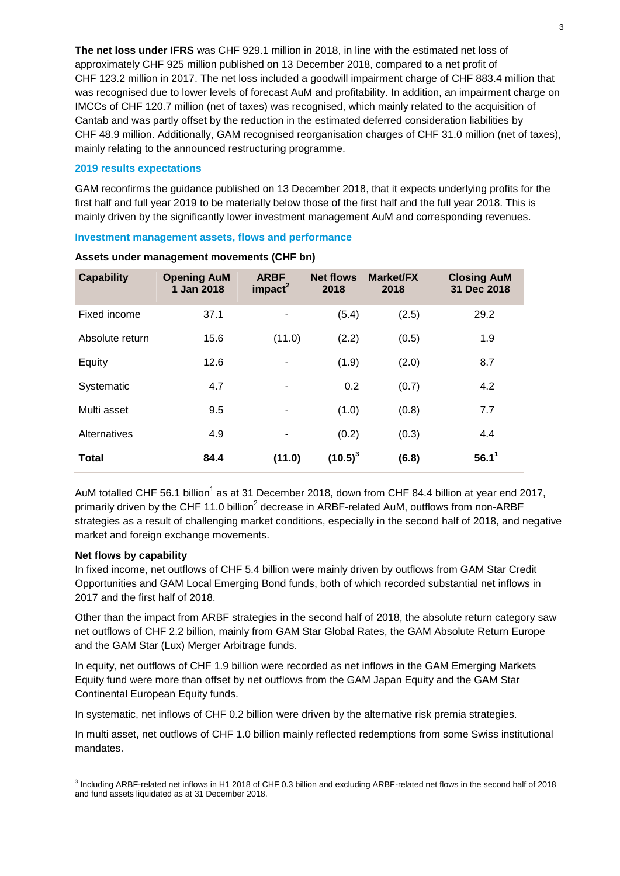**The net loss under IFRS** was CHF 929.1 million in 2018, in line with the estimated net loss of approximately CHF 925 million published on 13 December 2018, compared to a net profit of CHF 123.2 million in 2017. The net loss included a goodwill impairment charge of CHF 883.4 million that was recognised due to lower levels of forecast AuM and profitability. In addition, an impairment charge on IMCCs of CHF 120.7 million (net of taxes) was recognised, which mainly related to the acquisition of Cantab and was partly offset by the reduction in the estimated deferred consideration liabilities by CHF 48.9 million. Additionally, GAM recognised reorganisation charges of CHF 31.0 million (net of taxes), mainly relating to the announced restructuring programme.

#### **2019 results expectations**

GAM reconfirms the guidance published on 13 December 2018, that it expects underlying profits for the first half and full year 2019 to be materially below those of the first half and the full year 2018. This is mainly driven by the significantly lower investment management AuM and corresponding revenues.

# **Investment management assets, flows and performance**

| <b>Capability</b> | <b>Opening AuM</b><br>1 Jan 2018 | <b>ARBF</b><br>impact <sup>2</sup> | <b>Net flows</b><br>2018 | <b>Market/FX</b><br>2018 | <b>Closing AuM</b><br>31 Dec 2018 |
|-------------------|----------------------------------|------------------------------------|--------------------------|--------------------------|-----------------------------------|
| Fixed income      | 37.1                             |                                    | (5.4)                    | (2.5)                    | 29.2                              |
| Absolute return   | 15.6                             | (11.0)                             | (2.2)                    | (0.5)                    | 1.9                               |
| Equity            | 12.6                             | $\blacksquare$                     | (1.9)                    | (2.0)                    | 8.7                               |
| Systematic        | 4.7                              | ۰                                  | 0.2                      | (0.7)                    | 4.2                               |
| Multi asset       | 9.5                              | $\blacksquare$                     | (1.0)                    | (0.8)                    | 7.7                               |
| Alternatives      | 4.9                              | ٠                                  | (0.2)                    | (0.3)                    | 4.4                               |
| <b>Total</b>      | 84.4                             | (11.0)                             | $(10.5)^3$               | (6.8)                    | 56.1 <sup>1</sup>                 |

#### **Assets under management movements (CHF bn)**

AuM totalled CHF 56.1 billio[n](#page-0-1)<sup>1</sup> as at 31 December 2018, down from CHF 84.4 billion at year end 2017, primarily drive[n](#page-0-0) by the CHF 11.0 billion<sup>2</sup> decrease in ARBF-related AuM, outflows from non-ARBF strategies as a result of challenging market conditions, especially in the second half of 2018, and negative market and foreign exchange movements.

# **Net flows by capability**

In fixed income, net outflows of CHF 5.4 billion were mainly driven by outflows from GAM Star Credit Opportunities and GAM Local Emerging Bond funds, both of which recorded substantial net inflows in 2017 and the first half of 2018.

Other than the impact from ARBF strategies in the second half of 2018, the absolute return category saw net outflows of CHF 2.2 billion, mainly from GAM Star Global Rates, the GAM Absolute Return Europe and the GAM Star (Lux) Merger Arbitrage funds.

In equity, net outflows of CHF 1.9 billion were recorded as net inflows in the GAM Emerging Markets Equity fund were more than offset by net outflows from the GAM Japan Equity and the GAM Star Continental European Equity funds.

In systematic, net inflows of CHF 0.2 billion were driven by the alternative risk premia strategies.

In multi asset, net outflows of CHF 1.0 billion mainly reflected redemptions from some Swiss institutional mandates.

<sup>&</sup>lt;sup>3</sup> Including ARBF-related net inflows in H1 2018 of CHF 0.3 billion and excluding ARBF-related net flows in the second half of 2018 and fund assets liquidated as at 31 December 2018.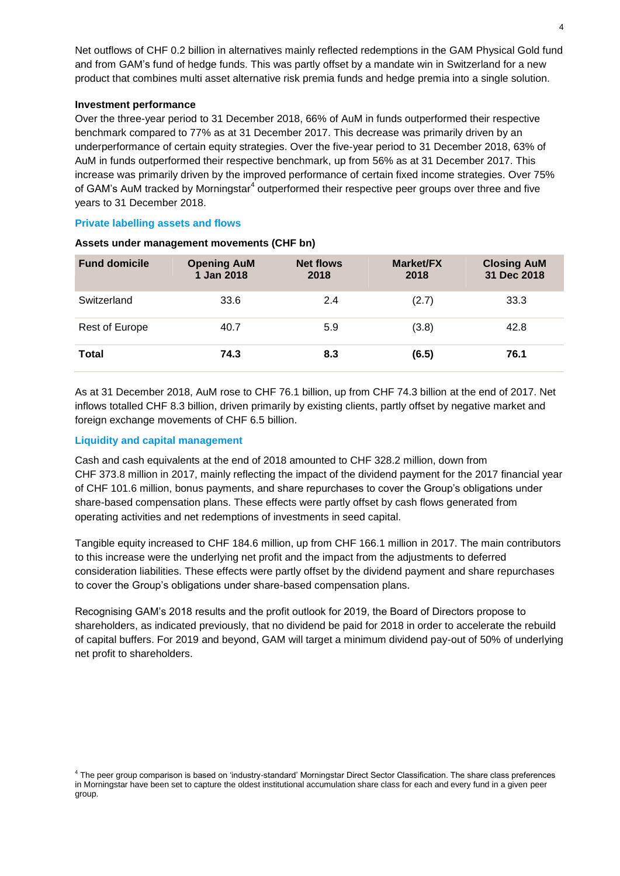Net outflows of CHF 0.2 billion in alternatives mainly reflected redemptions in the GAM Physical Gold fund and from GAM's fund of hedge funds. This was partly offset by a mandate win in Switzerland for a new product that combines multi asset alternative risk premia funds and hedge premia into a single solution.

## **Investment performance**

Over the three-year period to 31 December 2018, 66% of AuM in funds outperformed their respective benchmark compared to 77% as at 31 December 2017. This decrease was primarily driven by an underperformance of certain equity strategies. Over the five-year period to 31 December 2018, 63% of AuM in funds outperformed their respective benchmark, up from 56% as at 31 December 2017. This increase was primarily driven by the improved performance of certain fixed income strategies. Over 75% of GAM's AuM tracked by Morningstar<sup>4</sup> outperformed their respective peer groups over three and five years to 31 December 2018.

# **Private labelling assets and flows**

| <b>Fund domicile</b>  | <b>Opening AuM</b><br>1 Jan 2018 | <b>Net flows</b><br>2018 | <b>Market/FX</b><br>2018 | <b>Closing AuM</b><br>31 Dec 2018 |
|-----------------------|----------------------------------|--------------------------|--------------------------|-----------------------------------|
| Switzerland           | 33.6                             | 2.4                      | (2.7)                    | 33.3                              |
| <b>Rest of Europe</b> | 40.7                             | 5.9                      | (3.8)                    | 42.8                              |
| <b>Total</b>          | 74.3                             | 8.3                      | (6.5)                    | 76.1                              |

#### **Assets under management movements (CHF bn)**

As at 31 December 2018, AuM rose to CHF 76.1 billion, up from CHF 74.3 billion at the end of 2017. Net inflows totalled CHF 8.3 billion, driven primarily by existing clients, partly offset by negative market and foreign exchange movements of CHF 6.5 billion.

#### **Liquidity and capital management**

Cash and cash equivalents at the end of 2018 amounted to CHF 328.2 million, down from CHF 373.8 million in 2017, mainly reflecting the impact of the dividend payment for the 2017 financial year of CHF 101.6 million, bonus payments, and share repurchases to cover the Group's obligations under share-based compensation plans. These effects were partly offset by cash flows generated from operating activities and net redemptions of investments in seed capital.

Tangible equity increased to CHF 184.6 million, up from CHF 166.1 million in 2017. The main contributors to this increase were the underlying net profit and the impact from the adjustments to deferred consideration liabilities. These effects were partly offset by the dividend payment and share repurchases to cover the Group's obligations under share-based compensation plans.

Recognising GAM's 2018 results and the profit outlook for 2019, the Board of Directors propose to shareholders, as indicated previously, that no dividend be paid for 2018 in order to accelerate the rebuild of capital buffers. For 2019 and beyond, GAM will target a minimum dividend pay-out of 50% of underlying net profit to shareholders.

<sup>&</sup>lt;sup>4</sup> The peer group comparison is based on 'industry-standard' Morningstar Direct Sector Classification. The share class preferences in Morningstar have been set to capture the oldest institutional accumulation share class for each and every fund in a given peer group.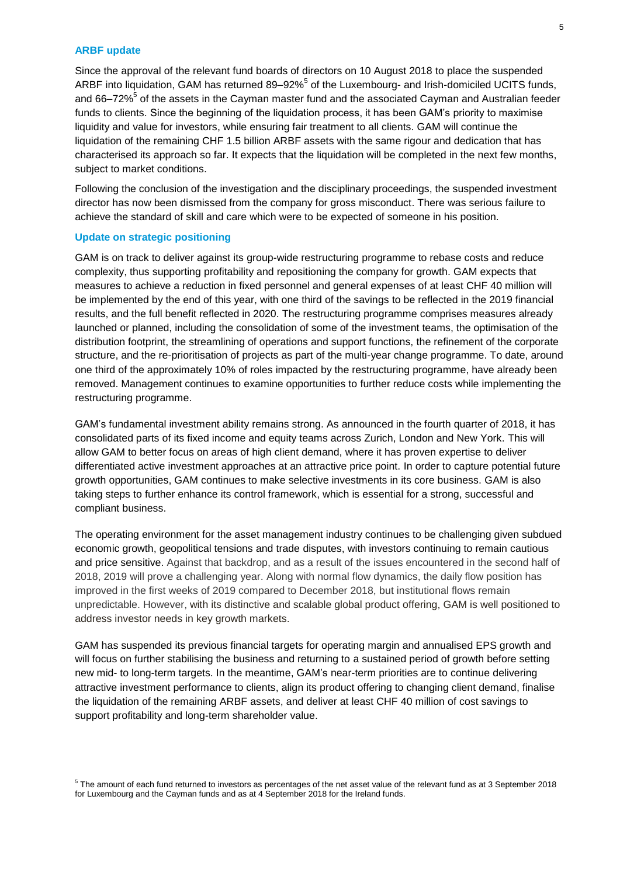#### **ARBF update**

Since the approval of the relevant fund boards of directors on 10 August 2018 to place the suspended ARBF into liquidation, GAM has returned 89–92%<sup>5</sup> of the Luxembourg- and Irish-domiciled UCITS funds, and 66–72%<sup>5</sup> of the assets in the Cayman master fund and the associated Cayman and Australian feeder funds to clients. Since the beginning of the liquidation process, it has been GAM's priority to maximise liquidity and value for investors, while ensuring fair treatment to all clients. GAM will continue the liquidation of the remaining CHF 1.5 billion ARBF assets with the same rigour and dedication that has characterised its approach so far. It expects that the liquidation will be completed in the next few months, subject to market conditions.

Following the conclusion of the investigation and the disciplinary proceedings, the suspended investment director has now been dismissed from the company for gross misconduct. There was serious failure to achieve the standard of skill and care which were to be expected of someone in his position.

#### **Update on strategic positioning**

GAM is on track to deliver against its group-wide restructuring programme to rebase costs and reduce complexity, thus supporting profitability and repositioning the company for growth. GAM expects that measures to achieve a reduction in fixed personnel and general expenses of at least CHF 40 million will be implemented by the end of this year, with one third of the savings to be reflected in the 2019 financial results, and the full benefit reflected in 2020. The restructuring programme comprises measures already launched or planned, including the consolidation of some of the investment teams, the optimisation of the distribution footprint, the streamlining of operations and support functions, the refinement of the corporate structure, and the re-prioritisation of projects as part of the multi-year change programme. To date, around one third of the approximately 10% of roles impacted by the restructuring programme, have already been removed. Management continues to examine opportunities to further reduce costs while implementing the restructuring programme.

GAM's fundamental investment ability remains strong. As announced in the fourth quarter of 2018, it has consolidated parts of its fixed income and equity teams across Zurich, London and New York. This will allow GAM to better focus on areas of high client demand, where it has proven expertise to deliver differentiated active investment approaches at an attractive price point. In order to capture potential future growth opportunities, GAM continues to make selective investments in its core business. GAM is also taking steps to further enhance its control framework, which is essential for a strong, successful and compliant business.

The operating environment for the asset management industry continues to be challenging given subdued economic growth, geopolitical tensions and trade disputes, with investors continuing to remain cautious and price sensitive. Against that backdrop, and as a result of the issues encountered in the second half of 2018, 2019 will prove a challenging year. Along with normal flow dynamics, the daily flow position has improved in the first weeks of 2019 compared to December 2018, but institutional flows remain unpredictable. However, with its distinctive and scalable global product offering, GAM is well positioned to address investor needs in key growth markets.

GAM has suspended its previous financial targets for operating margin and annualised EPS growth and will focus on further stabilising the business and returning to a sustained period of growth before setting new mid- to long-term targets. In the meantime, GAM's near-term priorities are to continue delivering attractive investment performance to clients, align its product offering to changing client demand, finalise the liquidation of the remaining ARBF assets, and deliver at least CHF 40 million of cost savings to support profitability and long-term shareholder value.

<sup>5</sup> The amount of each fund returned to investors as percentages of the net asset value of the relevant fund as at 3 September 2018 for Luxembourg and the Cayman funds and as at 4 September 2018 for the Ireland funds.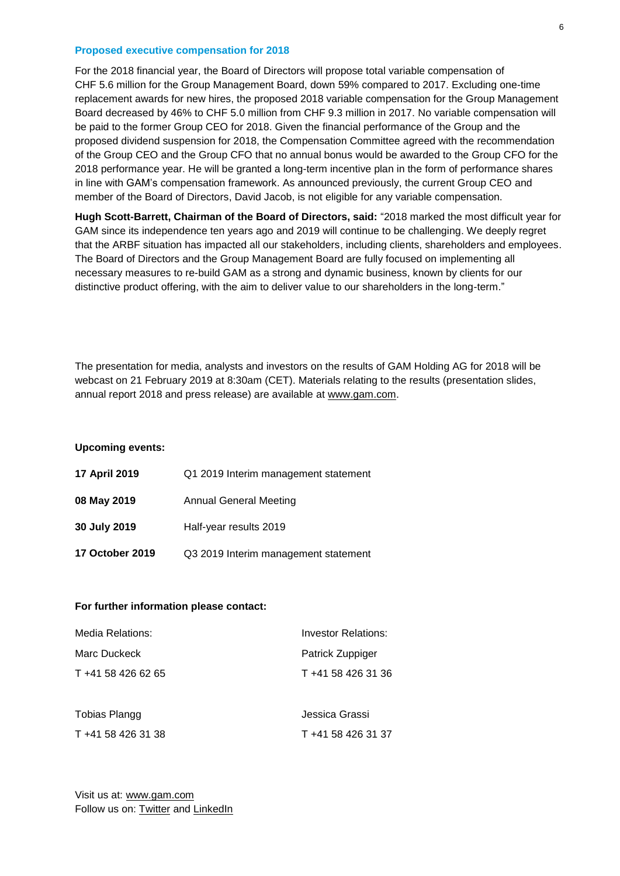#### **Proposed executive compensation for 2018**

For the 2018 financial year, the Board of Directors will propose total variable compensation of CHF 5.6 million for the Group Management Board, down 59% compared to 2017. Excluding one-time replacement awards for new hires, the proposed 2018 variable compensation for the Group Management Board decreased by 46% to CHF 5.0 million from CHF 9.3 million in 2017. No variable compensation will be paid to the former Group CEO for 2018. Given the financial performance of the Group and the proposed dividend suspension for 2018, the Compensation Committee agreed with the recommendation of the Group CEO and the Group CFO that no annual bonus would be awarded to the Group CFO for the 2018 performance year. He will be granted a long-term incentive plan in the form of performance shares in line with GAM's compensation framework. As announced previously, the current Group CEO and member of the Board of Directors, David Jacob, is not eligible for any variable compensation.

**Hugh Scott-Barrett, Chairman of the Board of Directors, said:** "2018 marked the most difficult year for GAM since its independence ten years ago and 2019 will continue to be challenging. We deeply regret that the ARBF situation has impacted all our stakeholders, including clients, shareholders and employees. The Board of Directors and the Group Management Board are fully focused on implementing all necessary measures to re-build GAM as a strong and dynamic business, known by clients for our distinctive product offering, with the aim to deliver value to our shareholders in the long-term."

The presentation for media, analysts and investors on the results of GAM Holding AG for 2018 will be webcast on 21 February 2019 at 8:30am (CET). Materials relating to the results (presentation slides, annual report 2018 and press release) are available at [www.gam.com.](https://www.gam.com/en/our-company/investor-relations/results-centre)

#### **Upcoming events:**

| <b>17 April 2019</b>   | Q1 2019 Interim management statement |
|------------------------|--------------------------------------|
| 08 May 2019            | Annual General Meeting               |
| 30 July 2019           | Half-year results 2019               |
| <b>17 October 2019</b> | Q3 2019 Interim management statement |

#### **For further information please contact:**

| Media Relations:   | <b>Investor Relations:</b> |  |  |
|--------------------|----------------------------|--|--|
| Marc Duckeck       | Patrick Zuppiger           |  |  |
| T +41 58 426 62 65 | T +41 58 426 31 36         |  |  |
| Tobias Plangg      | Jessica Grassi             |  |  |
| T +41 58 426 31 38 | T +41 58 426 31 37         |  |  |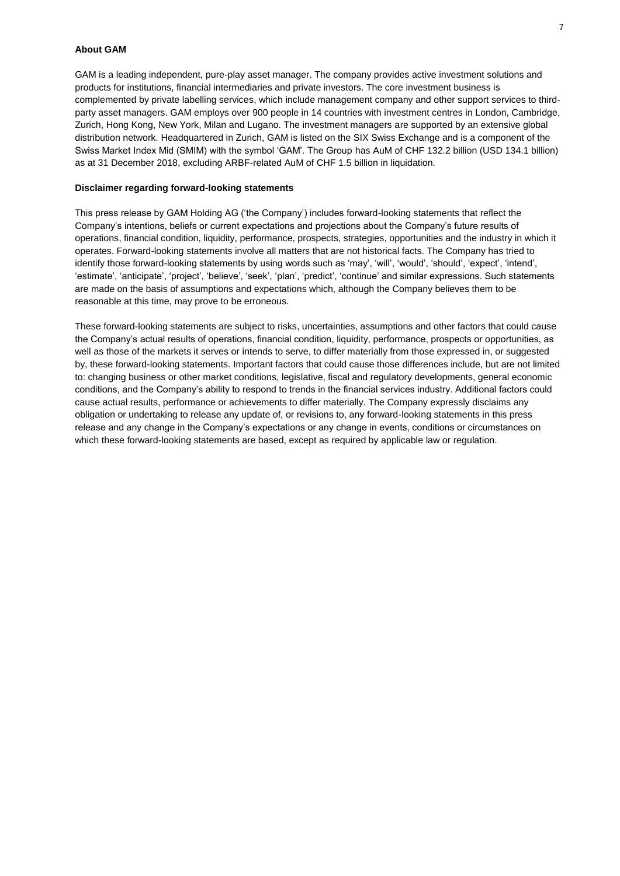#### **About GAM**

GAM is a leading independent, pure-play asset manager. The company provides active investment solutions and products for institutions, financial intermediaries and private investors. The core investment business is complemented by private labelling services, which include management company and other support services to thirdparty asset managers. GAM employs over 900 people in 14 countries with investment centres in London, Cambridge, Zurich, Hong Kong, New York, Milan and Lugano. The investment managers are supported by an extensive global distribution network. Headquartered in Zurich, GAM is listed on the SIX Swiss Exchange and is a component of the Swiss Market Index Mid (SMIM) with the symbol 'GAM'. The Group has AuM of CHF 132.2 billion (USD 134.1 billion) as at 31 December 2018, excluding ARBF-related AuM of CHF 1.5 billion in liquidation.

#### **Disclaimer regarding forward-looking statements**

This press release by GAM Holding AG ('the Company') includes forward-looking statements that reflect the Company's intentions, beliefs or current expectations and projections about the Company's future results of operations, financial condition, liquidity, performance, prospects, strategies, opportunities and the industry in which it operates. Forward-looking statements involve all matters that are not historical facts. The Company has tried to identify those forward-looking statements by using words such as 'may', 'will', 'would', 'should', 'expect', 'intend', 'estimate', 'anticipate', 'project', 'believe', 'seek', 'plan', 'predict', 'continue' and similar expressions. Such statements are made on the basis of assumptions and expectations which, although the Company believes them to be reasonable at this time, may prove to be erroneous.

These forward-looking statements are subject to risks, uncertainties, assumptions and other factors that could cause the Company's actual results of operations, financial condition, liquidity, performance, prospects or opportunities, as well as those of the markets it serves or intends to serve, to differ materially from those expressed in, or suggested by, these forward-looking statements. Important factors that could cause those differences include, but are not limited to: changing business or other market conditions, legislative, fiscal and regulatory developments, general economic conditions, and the Company's ability to respond to trends in the financial services industry. Additional factors could cause actual results, performance or achievements to differ materially. The Company expressly disclaims any obligation or undertaking to release any update of, or revisions to, any forward-looking statements in this press release and any change in the Company's expectations or any change in events, conditions or circumstances on which these forward-looking statements are based, except as required by applicable law or regulation.